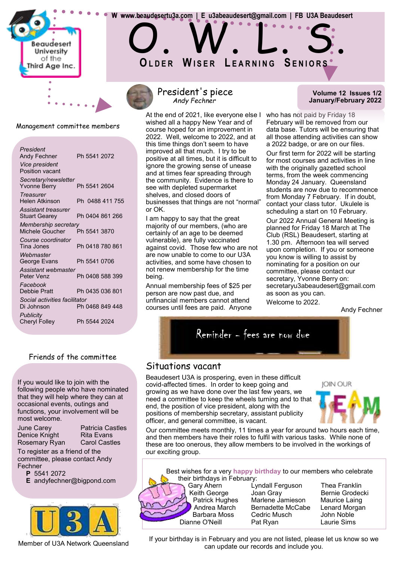

Management committee members

| President<br>Andy Fechner<br>Vice president<br><b>Position vacant</b> | Ph 5541 2072    |
|-----------------------------------------------------------------------|-----------------|
| Secretary/newsletter<br><b>Yvonne Berry</b>                           | Ph 5541 2604    |
| Treasurer<br>Helen Atkinson                                           | Ph 0488 411 755 |
| <b>Assistant treasurer</b><br><b>Stuart Gearey</b>                    | Ph 0404 861 266 |
| Membership secretary<br>Michele Goucher                               | Ph 5541 3870    |
| Course coordinator<br>Tina Jones                                      | Ph 0418 780 861 |
| Webmaster<br>George Evans                                             | Ph 5541 0706    |
| Assistant webmaster<br>Peter Venz                                     | Ph 0408 588 399 |
| Facebook<br>Debbie Pratt                                              | Ph 0435 036 801 |
| Social activities facilitator<br>Di Johnson                           | Ph 0468 849 448 |
| <b>Publicity</b><br><b>Cheryl Folley</b>                              | Ph 5544 2024    |

# Friends of the committee

If you would like to join with the following people who have nominated that they will help where they can at occasional events, outings and functions, your involvement will be most welcome.

Rosemary Ryan

June Carey Patricia Castles Denice Knight Rita Evans<br>Rosemary Ryan Carol Castles

To register as a friend of the committee, please contact Andy Fechner

**P** 5541 2072

**E** andyfechner@bigpond.com



Member of U3A Network Queensland

# President's piece *Andy Fechner*

 **W www.beaudesertu3a.com | E u3abeaudesert@gmail.com | FB U3A Beaudesert**

**OL D E R WI S E R L E A R N I N G SE N I O R S**

O. W. L. S.

At the end of 2021, like everyone else I who has not paid by Friday 18 wished all a happy New Year and of course hoped for an improvement in 2022. Well, welcome to 2022, and at this time things don't seem to have improved all that much. I try to be positive at all times, but it is difficult to ignore the growing sense of unease and at times fear spreading through the community. Evidence is there to see with depleted supermarket shelves, and closed doors of businesses that things are not "normal" or OK.

I am happy to say that the great majority of our members, (who are certainly of an age to be deemed vulnerable), are fully vaccinated against covid. Those few who are not are now unable to come to our U3A activities, and some have chosen to not renew membership for the time being.

Annual membership fees of \$25 per person are now past due, and unfinancial members cannot attend courses until fees are paid. Anyone

#### **Volume 12 Issues 1/2 January/February 2022**

February will be removed from our data base. Tutors will be ensuring that all those attending activities can show a 2022 badge, or are on our files.

Our first term for 2022 will be starting for most courses and activities in line with the originally gazetted school terms, from the week commencing Monday 24 January. Queensland students are now due to recommence from Monday 7 February. If in doubt, contact your class tutor. Ukulele is scheduling a start on 10 February.

Our 2022 Annual General Meeting is planned for Friday 18 March at The Club (RSL) Beaudesert, starting at 1.30 pm. Afternoon tea will served upon completion. If you or someone you know is willing to assist by nominating for a position on our committee, please contact our secretary, Yvonne Berry on: secretaryu3abeaudesert@gmail.com as soon as you can. Welcome to 2022.

Andy Fechner



# Situations vacant

Beaudesert U3A is prospering, even in these difficult covid-affected times. In order to keep going and growing as we have done over the last few years, we need a committee to keep the wheels turning and to that end, the position of vice president, along with the positions of membership secretary, assistant publicity officer, and general committee, is vacant.



Our committee meets monthly, 11 times a year for around two hours each time, and then members have their roles to fulfil with various tasks. While none of these are too onerous, they allow members to be involved in the workings of our exciting group.

Best wishes for a very **happy birthday** to our members who celebrate their birthdays in February:



Gary Ahern Lyndall Ferguson Thea Franklin Keith George Joan Gray Bernie Grodecki<br>Patrick Hughes Marlene Jamieson Maurice Laing Marlene Jamieson Maurice Laing Andrea March Bernadette McCabe Lenard Morgan Cedric Musch Dianne O'Neill Pat Ryan Laurie Sims

If your birthday is in February and you are not listed, please let us know so we can update our records and include you.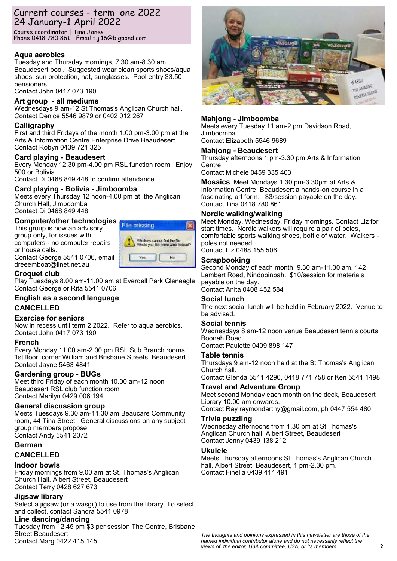# Current courses - term one 2022 24 January-1 April 2022

Course coordinator | Tina Jones Phone 0418 780 861 | Email t.j.16@bigpond.com

### **Aqua aerobics**

Tuesday and Thursday mornings, 7.30 am-8.30 am Beaudesert pool. Suggested wear clean sports shoes/aqua shoes, sun protection, hat, sunglasses. Pool entry \$3.50 pensioners

Contact John 0417 073 190

#### **Art group - all mediums**

Wednesdays 9 am-12 St Thomas's Anglican Church hall. Contact Denice 5546 9879 or 0402 012 267

#### **Calligraphy**

First and third Fridays of the month 1.00 pm-3.00 pm at the Arts & Information Centre Enterprise Drive Beaudesert Contact Robyn 0439 721 325

#### **Card playing - Beaudesert**

Every Monday 12.30 pm-4.00 pm RSL function room. Enjoy 500 or Bolivia.

Contact Di 0468 849 448 to confirm attendance.

#### **Card playing - Bolivia - Jimboomba**

Meets every Thursday 12 noon-4.00 pm at the Anglican Church Hall, Jimboomba Contact Di 0468 849 448

# **Computer/other technologies**

This group is now an advisory group only, for issues with computers - no computer repairs or house calls. Contact George 5541 0706, email dreeemboat@iinet.net.au



#### **Croquet club**

Play Tuesdays 8.00 am-11.00 am at Everdell Park Gleneagle Contact George or Rita 5541 0706

# **English as a second language**

#### **CANCELLED**

#### **Exercise for seniors**

Now in recess until term 2 2022. Refer to aqua aerobics. Contact John 0417 073 190

#### **French**

Every Monday 11.00 am-2.00 pm RSL Sub Branch rooms, 1st floor, corner William and Brisbane Streets, Beaudesert. Contact Jayne 5463 4841

#### **Gardening group - BUGs**

Meet third Friday of each month 10.00 am-12 noon Beaudesert RSL club function room Contact Marilyn 0429 006 194

#### **General discussion group**

Meets Tuesdays 9.30 am-11.30 am Beaucare Community room, 44 Tina Street. General discussions on any subject group members propose. Contact Andy 5541 2072

#### **German**

#### **CANCELLED**

#### **Indoor bowls**

Friday mornings from 9.00 am at St. Thomas's Anglican Church Hall, Albert Street, Beaudesert Contact Terry 0428 627 673

#### **Jigsaw library**

Select a jigsaw (or a wasgij) to use from the library. To select and collect, contact Sandra 5541 0978

#### **Line dancing/dancing**

Tuesday from 12.45 pm \$3 per session The Centre, Brisbane Street Beaudesert Contact Marg 0422 415 145



#### **Mahjong - Jimboomba**

Meets every Tuesday 11 am-2 pm Davidson Road, Jimboomba. Contact Elizabeth 5546 9689

## **Mahjong - Beaudesert**

Thursday afternoons 1 pm-3.30 pm Arts & Information Centre.

Contact Michele 0459 335 403

**Mosaics** Meet Mondays 1.30 pm-3.30pm at Arts & Information Centre, Beaudesert a hands-on course in a fascinating art form. \$3/session payable on the day. Contact Tina 0418 780 861

#### **Nordic walking/walking**

Meet Monday, Wednesday, Friday mornings. Contact Liz for start times. Nordic walkers will require a pair of poles, comfortable sports walking shoes, bottle of water. Walkers poles not needed.

Contact Liz 0488 155 506

#### **Scrapbooking**

Second Monday of each month, 9.30 am-11.30 am, 142 Lambert Road, Nindooinbah. \$10/session for materials payable on the day. Contact Anita 0408 452 584

#### **Social lunch**

The next social lunch will be held in February 2022. Venue to be advised.

#### **Social tennis**

Wednesdays 8 am-12 noon venue Beaudesert tennis courts Boonah Road

Contact Paulette 0409 898 147

#### **Table tennis**

Thursdays 9 am-12 noon held at the St Thomas's Anglican Church hall. Contact Glenda 5541 4290, 0418 771 758 or Ken 5541 1498

#### **Travel and Adventure Group**

Meet second Monday each month on the deck, Beaudesert Library 10.00 am onwards. Contact Ray raymondarthy@gmail.com, ph 0447 554 480

#### **Trivia puzzling**

Wednesday afternoons from 1.30 pm at St Thomas's Anglican Church hall, Albert Street, Beaudesert Contact Jenny 0439 138 212

#### **Ukulele**

Meets Thursday afternoons St Thomas's Anglican Church hall, Albert Street, Beaudesert, 1 pm-2.30 pm. Contact Finella 0439 414 491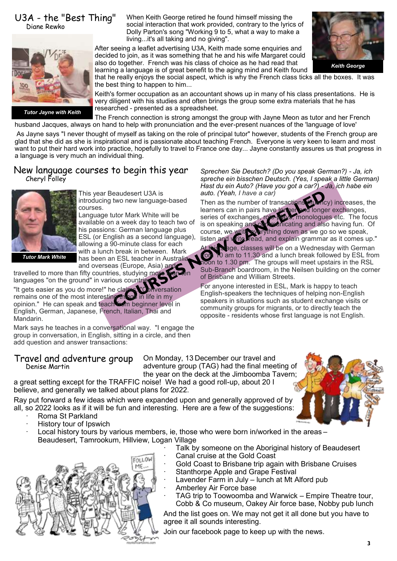#### U3A - the "Best Thing" Diane Rewko

When Keith George retired he found himself missing the social interaction that work provided, contrary to the lyrics of Dolly Parton's song "Working 9 to 5, what a way to make a living...it's all taking and no giving".

After seeing a leaflet advertising U3A, Keith made some enquiries and decided to join, as it was something that he and his wife Margaret could also do together. French was his class of choice as he had read that learning a language is of great benefit to the aging mind and Keith found



*Keith George*

that he really enjoys the social aspect, which is why the French class ticks all the boxes. It was the best thing to happen to him...

Keith's former occupation as an accountant shows up in many of his class presentations. He is very diligent with his studies and often brings the group some extra materials that he has researched - presented as a spreadsheet.

The French connection is strong amongst the group with Jayne Meon as tutor and her French husband Jacques, always on hand to help with pronunciation and the ever-present nuances of the 'language of love' *Tutor Jayne with Keith*

As Jayne says "I never thought of myself as taking on the role of principal tutor" however, students of the French group are glad that she did as she is inspirational and is passionate about teaching French. Everyone is very keen to learn and most want to put their hard work into practice, hopefully to travel to France one day... Jayne constantly assures us that progress in a language is very much an individual thing.

# New language courses to begin this year Cheryl Folley



This year Beaudesert U3A is introducing two new language-based courses.

Language tutor Mark White will be available on a week day to teach two of his passions: German language plus ESL (or English as a second language), allowing a 90-minute class for each with a lunch break in between. Mark has been an ESL teacher in Australia and overseas (Europe, Asia) and

*Tutor Mark White*

travelled to more than fifty countries, studying more than languages "on the ground" in various countries. "It gets easier as you do more!" he claims. "Conversation remains one of the most interesting things in life in my opinion." He can speak and teach from beginner level in English, German, Japanese, French, Italian, Thai and Mandarin.

Mark says he teaches in a conversational way. "I engage the group in conversation, in English, sitting in a circle, and then add question and answer transactions:

#### Travel and adventure group Denise Martin

On Monday, 13 December our travel and adventure group (TAG) had the final meeting of the year on the deck at the Jimboomba Tavern;

a great setting except for the TRAFFIC noise! We had a good roll-up, about 20 I believe, and generally we talked about plans for 2022.

Ray put forward a few ideas which were expanded upon and generally approved of by all, so 2022 looks as if it will be fun and interesting. Here are a few of the suggestions:

- Roma St Parkland
- History tour of Ipswich
- Local history tours by various members, ie, those who were born in/worked in the areas -Beaudesert, Tamrookum, Hillview, Logan Village



*Sprechen Sie Deutsch? (Do you speak German?) - Ja, ich spreche ein bisschen Deutsch. (Yes, I speak a little German) Hast du ein Auto? (Have you got a car?) - Ja, ich habe ein auto. (Yeah, I have a car)*

Then as the number of transactions (fluency) increases, the learners can in pairs have larger one longer exchanges. learners can in pairs have longer series of exchanges, role-plays, monologues etc. The focus is on speaking and communicating and also having fun. Of course, we write everything down as we go so we speak, listen and write, read, and explain grammar as it comes up."

Stage, classes will be on a Wednesday with German for 10 am to 11.30 and a lunch break followed by ESL from noon to 1.30 pm. The groups will meet upstairs in the RSL Sub-Branch boardroom, in the Neilsen building on the corner of Brisbane and William Streets.

For anyone interested in ESL, Mark is happy to teach English-speakers the techniques of helping non-English speakers in situations such as student exchange visits or community groups for migrants, or to directly teach the opposite - residents whose first language is not English.

Talk by someone on the Aboriginal history of Beaudesert

- Canal cruise at the Gold Coast
- Gold Coast to Brisbane trip again with Brisbane Cruises
- Stanthorpe Apple and Grape Festival
- Lavender Farm in July lunch at Mt Alford pub
- Amberley Air Force base
	- TAG trip to Toowoomba and Warwick Empire Theatre tour, Cobb & Co museum, Oakey Air force base, Nobby pub lunch

And the list goes on. We may not get it all done but you have to agree it all sounds interesting.

Join our facebook page to keep up with the news.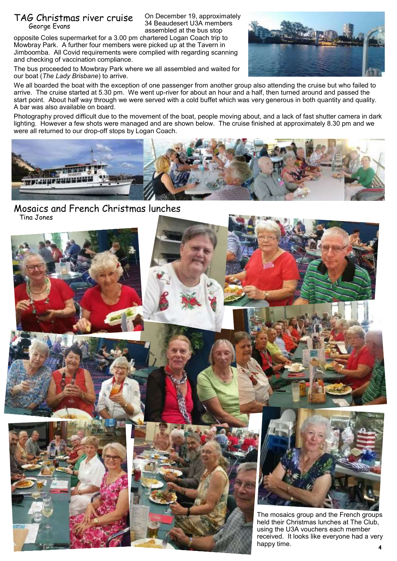# TAG Christmas river cruise George Evans

On December 19, approximately 34 Beaudesert U3A members assembled at the bus stop

opposite Coles supermarket for a 3.00 pm chartered Logan Coach trip to Mowbray Park. A further four members were picked up at the Tavern in Jimboomba. All Covid requirements were complied with regarding scanning and checking of vaccination compliance.

The bus proceeded to Mowbray Park where we all assembled and waited for our boat (*The Lady Brisbane*) to arrive.



We all boarded the boat with the exception of one passenger from another group also attending the cruise but who failed to arrive. The cruise started at 5.30 pm. We went up-river for about an hour and a half, then turned around and passed the start point. About half way through we were served with a cold buffet which was very generous in both quantity and quality. A bar was also available on board.

Photography proved difficult due to the movement of the boat, people moving about, and a lack of fast shutter camera in dark lighting. However a few shots were managed and are shown below. The cruise finished at approximately 8.30 pm and we were all returned to our drop-off stops by Logan Coach.



# Mosaics and French Christmas lunches Tina Jones

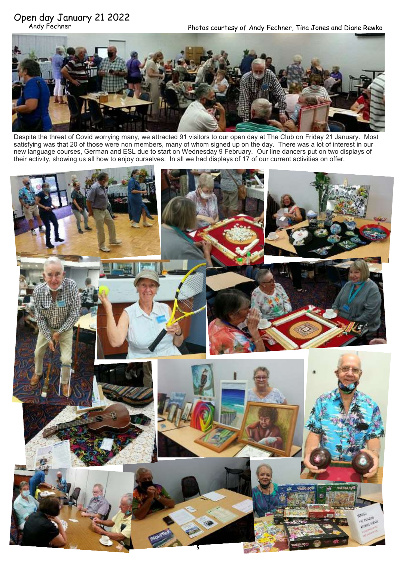# Open day January 21 2022

Photos courtesy of Andy Fechner, Tina Jones and Diane Rewko



Despite the threat of Covid worrying many, we attracted 91 visitors to our open day at The Club on Friday 21 January. Most satisfying was that 20 of those were non members, many of whom signed up on the day. There was a lot of interest in our new language courses, German and ESL due to start on Wednesday 9 February. Our line dancers put on two displays of their activity, showing us all how to enjoy ourselves. In all we had displays of 17 of our current activities on offer.